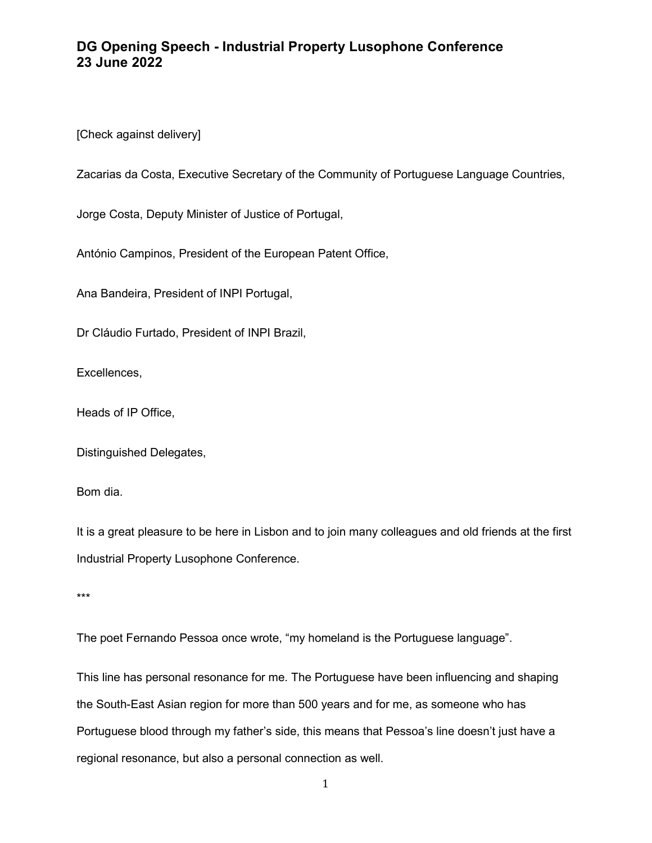## DG Opening Speech - Industrial Property Lusophone Conference 23 June 2022

[Check against delivery]

Zacarias da Costa, Executive Secretary of the Community of Portuguese Language Countries,

Jorge Costa, Deputy Minister of Justice of Portugal,

António Campinos, President of the European Patent Office,

Ana Bandeira, President of INPI Portugal,

Dr Cláudio Furtado, President of INPI Brazil,

Excellences,

Heads of IP Office,

Distinguished Delegates,

Bom dia.

It is a great pleasure to be here in Lisbon and to join many colleagues and old friends at the first Industrial Property Lusophone Conference.

\*\*\*

The poet Fernando Pessoa once wrote, "my homeland is the Portuguese language".

This line has personal resonance for me. The Portuguese have been influencing and shaping the South-East Asian region for more than 500 years and for me, as someone who has Portuguese blood through my father's side, this means that Pessoa's line doesn't just have a regional resonance, but also a personal connection as well.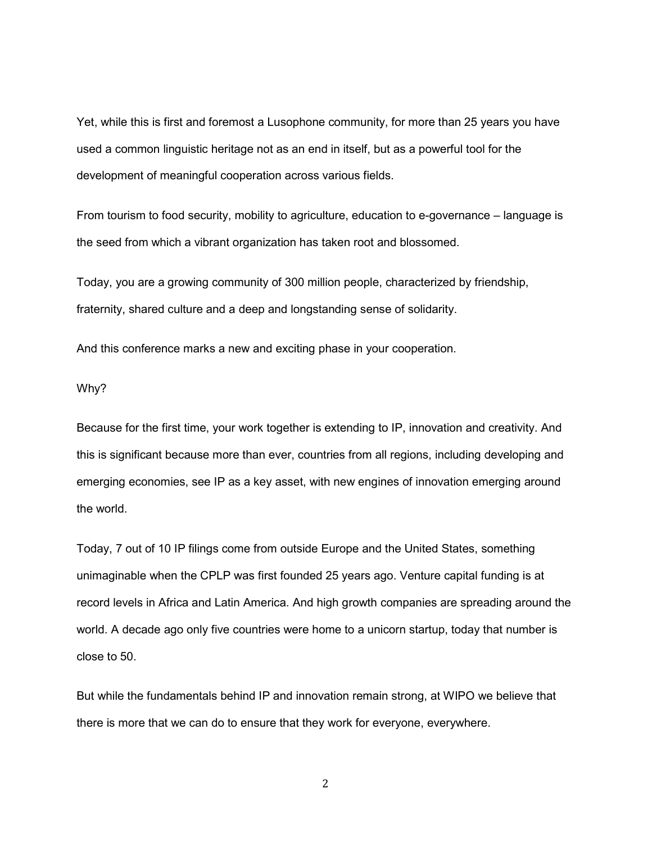Yet, while this is first and foremost a Lusophone community, for more than 25 years you have used a common linguistic heritage not as an end in itself, but as a powerful tool for the development of meaningful cooperation across various fields.

From tourism to food security, mobility to agriculture, education to e-governance – language is the seed from which a vibrant organization has taken root and blossomed.

Today, you are a growing community of 300 million people, characterized by friendship, fraternity, shared culture and a deep and longstanding sense of solidarity.

And this conference marks a new and exciting phase in your cooperation.

## Why?

Because for the first time, your work together is extending to IP, innovation and creativity. And this is significant because more than ever, countries from all regions, including developing and emerging economies, see IP as a key asset, with new engines of innovation emerging around the world.

Today, 7 out of 10 IP filings come from outside Europe and the United States, something unimaginable when the CPLP was first founded 25 years ago. Venture capital funding is at record levels in Africa and Latin America. And high growth companies are spreading around the world. A decade ago only five countries were home to a unicorn startup, today that number is close to 50.

But while the fundamentals behind IP and innovation remain strong, at WIPO we believe that there is more that we can do to ensure that they work for everyone, everywhere.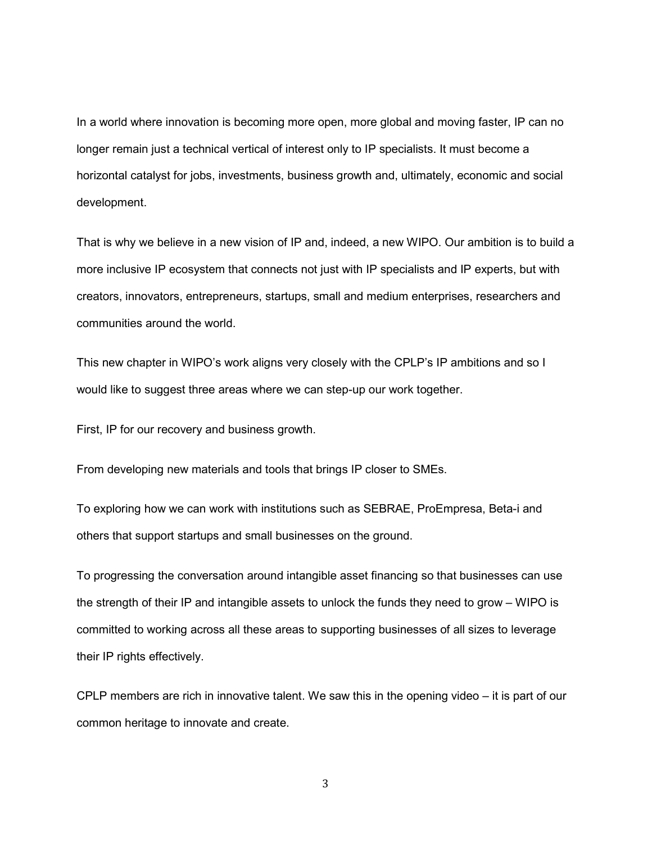In a world where innovation is becoming more open, more global and moving faster, IP can no longer remain just a technical vertical of interest only to IP specialists. It must become a horizontal catalyst for jobs, investments, business growth and, ultimately, economic and social development.

That is why we believe in a new vision of IP and, indeed, a new WIPO. Our ambition is to build a more inclusive IP ecosystem that connects not just with IP specialists and IP experts, but with creators, innovators, entrepreneurs, startups, small and medium enterprises, researchers and communities around the world.

This new chapter in WIPO's work aligns very closely with the CPLP's IP ambitions and so I would like to suggest three areas where we can step-up our work together.

First, IP for our recovery and business growth.

From developing new materials and tools that brings IP closer to SMEs.

To exploring how we can work with institutions such as SEBRAE, ProEmpresa, Beta-i and others that support startups and small businesses on the ground.

To progressing the conversation around intangible asset financing so that businesses can use the strength of their IP and intangible assets to unlock the funds they need to grow – WIPO is committed to working across all these areas to supporting businesses of all sizes to leverage their IP rights effectively.

CPLP members are rich in innovative talent. We saw this in the opening video – it is part of our common heritage to innovate and create.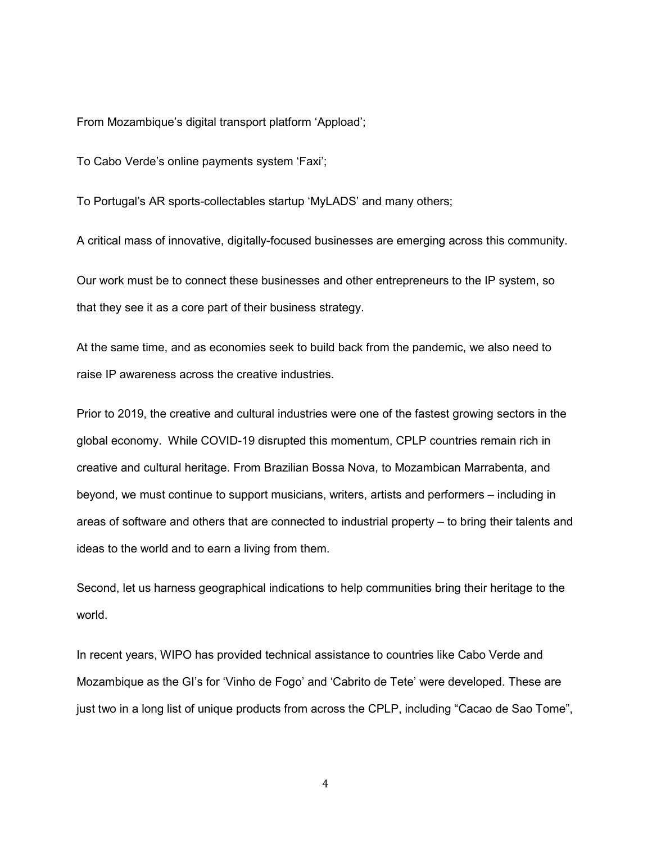From Mozambique's digital transport platform 'Appload';

To Cabo Verde's online payments system 'Faxi';

To Portugal's AR sports-collectables startup 'MyLADS' and many others;

A critical mass of innovative, digitally-focused businesses are emerging across this community.

Our work must be to connect these businesses and other entrepreneurs to the IP system, so that they see it as a core part of their business strategy.

At the same time, and as economies seek to build back from the pandemic, we also need to raise IP awareness across the creative industries.

Prior to 2019, the creative and cultural industries were one of the fastest growing sectors in the global economy. While COVID-19 disrupted this momentum, CPLP countries remain rich in creative and cultural heritage. From Brazilian Bossa Nova, to Mozambican Marrabenta, and beyond, we must continue to support musicians, writers, artists and performers – including in areas of software and others that are connected to industrial property – to bring their talents and ideas to the world and to earn a living from them.

Second, let us harness geographical indications to help communities bring their heritage to the world.

In recent years, WIPO has provided technical assistance to countries like Cabo Verde and Mozambique as the GI's for 'Vinho de Fogo' and 'Cabrito de Tete' were developed. These are just two in a long list of unique products from across the CPLP, including "Cacao de Sao Tome",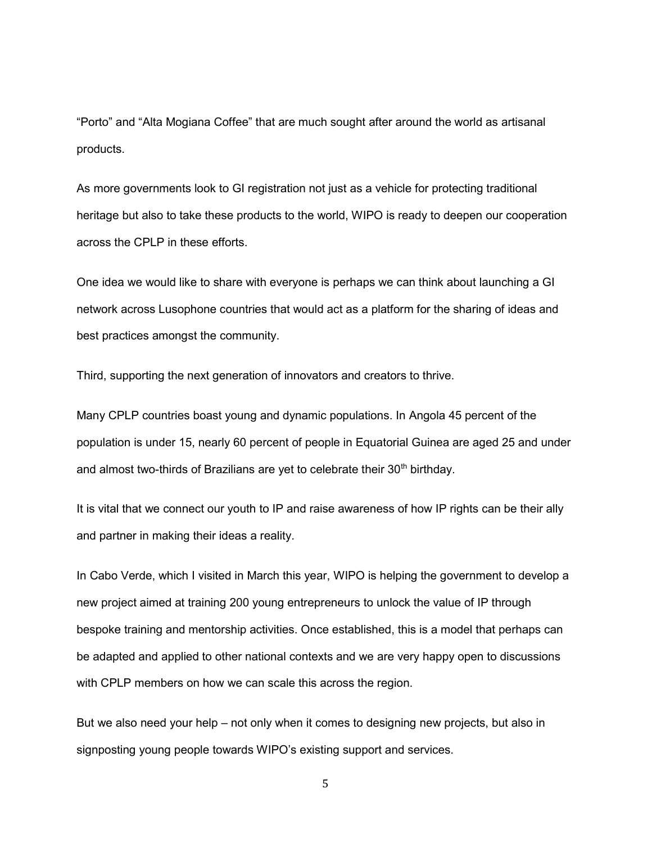"Porto" and "Alta Mogiana Coffee" that are much sought after around the world as artisanal products.

As more governments look to GI registration not just as a vehicle for protecting traditional heritage but also to take these products to the world, WIPO is ready to deepen our cooperation across the CPLP in these efforts.

One idea we would like to share with everyone is perhaps we can think about launching a GI network across Lusophone countries that would act as a platform for the sharing of ideas and best practices amongst the community.

Third, supporting the next generation of innovators and creators to thrive.

Many CPLP countries boast young and dynamic populations. In Angola 45 percent of the population is under 15, nearly 60 percent of people in Equatorial Guinea are aged 25 and under and almost two-thirds of Brazilians are yet to celebrate their  $30<sup>th</sup>$  birthday.

It is vital that we connect our youth to IP and raise awareness of how IP rights can be their ally and partner in making their ideas a reality.

In Cabo Verde, which I visited in March this year, WIPO is helping the government to develop a new project aimed at training 200 young entrepreneurs to unlock the value of IP through bespoke training and mentorship activities. Once established, this is a model that perhaps can be adapted and applied to other national contexts and we are very happy open to discussions with CPLP members on how we can scale this across the region.

But we also need your help – not only when it comes to designing new projects, but also in signposting young people towards WIPO's existing support and services.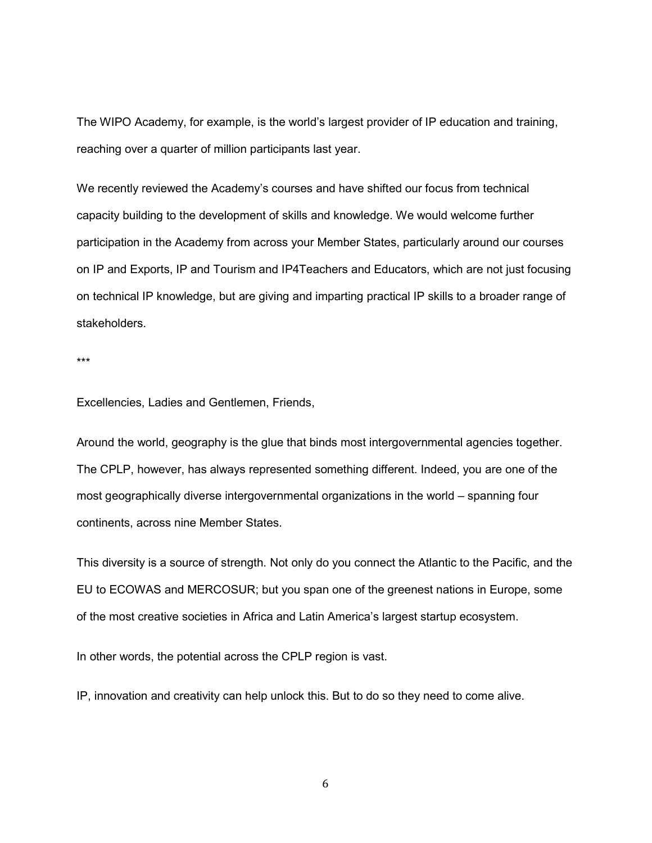The WIPO Academy, for example, is the world's largest provider of IP education and training, reaching over a quarter of million participants last year.

We recently reviewed the Academy's courses and have shifted our focus from technical capacity building to the development of skills and knowledge. We would welcome further participation in the Academy from across your Member States, particularly around our courses on IP and Exports, IP and Tourism and IP4Teachers and Educators, which are not just focusing on technical IP knowledge, but are giving and imparting practical IP skills to a broader range of stakeholders.

\*\*\*

Excellencies, Ladies and Gentlemen, Friends,

Around the world, geography is the glue that binds most intergovernmental agencies together. The CPLP, however, has always represented something different. Indeed, you are one of the most geographically diverse intergovernmental organizations in the world – spanning four continents, across nine Member States.

This diversity is a source of strength. Not only do you connect the Atlantic to the Pacific, and the EU to ECOWAS and MERCOSUR; but you span one of the greenest nations in Europe, some of the most creative societies in Africa and Latin America's largest startup ecosystem.

In other words, the potential across the CPLP region is vast.

IP, innovation and creativity can help unlock this. But to do so they need to come alive.